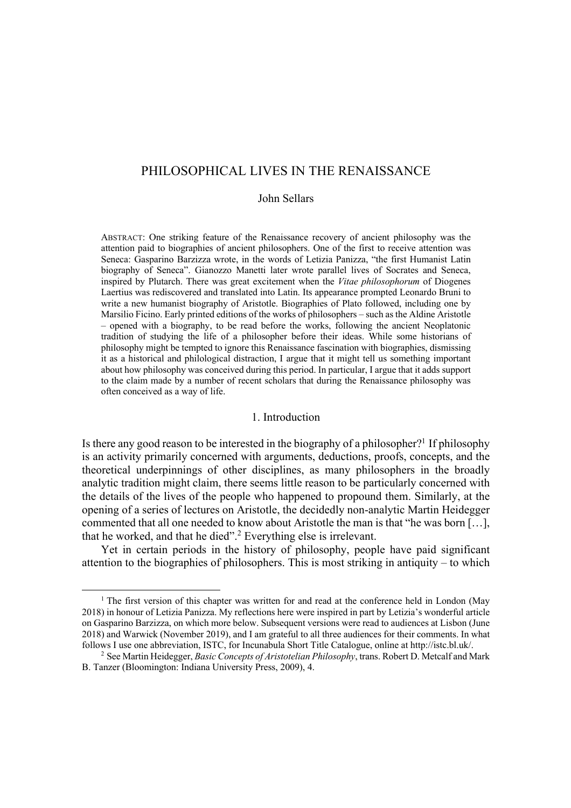John Sellars

ABSTRACT: One striking feature of the Renaissance recovery of ancient philosophy was the attention paid to biographies of ancient philosophers. One of the first to receive attention was Seneca: Gasparino Barzizza wrote, in the words of Letizia Panizza, "the first Humanist Latin biography of Seneca". Gianozzo Manetti later wrote parallel lives of Socrates and Seneca, inspired by Plutarch. There was great excitement when the *Vitae philosophorum* of Diogenes Laertius was rediscovered and translated into Latin. Its appearance prompted Leonardo Bruni to write a new humanist biography of Aristotle. Biographies of Plato followed, including one by Marsilio Ficino. Early printed editions of the works of philosophers – such as the Aldine Aristotle – opened with a biography, to be read before the works, following the ancient Neoplatonic tradition of studying the life of a philosopher before their ideas. While some historians of philosophy might be tempted to ignore this Renaissance fascination with biographies, dismissing it as a historical and philological distraction, I argue that it might tell us something important about how philosophy was conceived during this period. In particular, I argue that it adds support to the claim made by a number of recent scholars that during the Renaissance philosophy was often conceived as a way of life.

#### 1. Introduction

Is there any good reason to be interested in the biography of a philosopher?<sup>1</sup> If philosophy is an activity primarily concerned with arguments, deductions, proofs, concepts, and the theoretical underpinnings of other disciplines, as many philosophers in the broadly analytic tradition might claim, there seems little reason to be particularly concerned with the details of the lives of the people who happened to propound them. Similarly, at the opening of a series of lectures on Aristotle, the decidedly non-analytic Martin Heidegger commented that all one needed to know about Aristotle the man is that "he was born […], that he worked, and that he died". <sup>2</sup> Everything else is irrelevant.

Yet in certain periods in the history of philosophy, people have paid significant attention to the biographies of philosophers. This is most striking in antiquity – to which

<sup>&</sup>lt;sup>1</sup> The first version of this chapter was written for and read at the conference held in London (May 2018) in honour of Letizia Panizza. My reflections here were inspired in part by Letizia's wonderful article on Gasparino Barzizza, on which more below. Subsequent versions were read to audiences at Lisbon (June 2018) and Warwick (November 2019), and I am grateful to all three audiences for their comments. In what follows I use one abbreviation, ISTC, for Incunabula Short Title Catalogue, online at http://istc.bl.uk/.

<sup>&</sup>lt;sup>2</sup> See Martin Heidegger, *Basic Concepts of Aristotelian Philosophy*, trans. Robert D. Metcalf and Mark B. Tanzer (Bloomington: Indiana University Press, 2009), 4.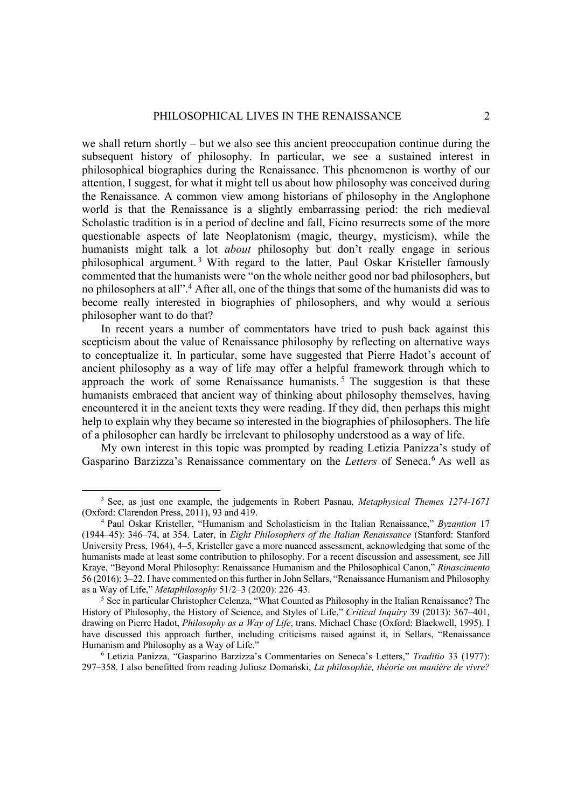we shall return shortly – but we also see this ancient preoccupation continue during the subsequent history of philosophy. In particular, we see a sustained interest in philosophical biographies during the Renaissance. This phenomenon is worthy of our attention, I suggest, for what it might tell us about how philosophy was conceived during the Renaissance. A common view among historians of philosophy in the Anglophone world is that the Renaissance is a slightly embarrassing period: the rich medieval Scholastic tradition is in a period of decline and fall, Ficino resurrects some of the more questionable aspects of late Neoplatonism (magic, theurgy, mysticism), while the humanists might talk a lot *about* philosophy but don't really engage in serious philosophical argument. <sup>3</sup> With regard to the latter, Paul Oskar Kristeller famously commented that the humanists were "on the whole neither good nor bad philosophers, but no philosophers at all".<sup>4</sup> After all, one of the things that some of the humanists did was to become really interested in biographies of philosophers, and why would a serious philosopher want to do that?

In recent years a number of commentators have tried to push back against this scepticism about the value of Renaissance philosophy by reflecting on alternative ways to conceptualize it. In particular, some have suggested that Pierre Hadot's account of ancient philosophy as a way of life may offer a helpful framework through which to approach the work of some Renaissance humanists.<sup>5</sup> The suggestion is that these humanists embraced that ancient way of thinking about philosophy themselves, having encountered it in the ancient texts they were reading. If they did, then perhaps this might help to explain why they became so interested in the biographies of philosophers. The life of a philosopher can hardly be irrelevant to philosophy understood as a way of life.

My own interest in this topic was prompted by reading Letizia Panizza's study of Gasparino Barzizza's Renaissance commentary on the *Letters* of Seneca. <sup>6</sup> As well as

<sup>3</sup> See, as just one example, the judgements in Robert Pasnau, *Metaphysical Themes 1274-1671* (Oxford: Clarendon Press, 2011), 93 and 419. 4 Paul Oskar Kristeller, "Humanism and Scholasticism in the Italian Renaissance," *Byzantion* <sup>17</sup>

<sup>(1944–45): 346–74,</sup> at 354. Later, in *Eight Philosophers of the Italian Renaissance* (Stanford: Stanford University Press, 1964), 4–5, Kristeller gave a more nuanced assessment, acknowledging that some of the humanists made at least some contribution to philosophy. For a recent discussion and assessment, see Jill Kraye, "Beyond Moral Philosophy: Renaissance Humanism and the Philosophical Canon," *Rinascimento* 56 (2016): 3–22. I have commented on this further in John Sellars, "Renaissance Humanism and Philosophy as a Way of Life," *Metaphilosophy* 51/2–3 (2020): 226–43. 5 See in particular Christopher Celenza, "What Counted as Philosophy in the Italian Renaissance? The

History of Philosophy, the History of Science, and Styles of Life," *Critical Inquiry* 39 (2013): 367–401, drawing on Pierre Hadot, *Philosophy as a Way of Life*, trans. Michael Chase (Oxford: Blackwell, 1995). I have discussed this approach further, including criticisms raised against it, in Sellars, "Renaissance Humanism and Philosophy as a Way of Life."

<sup>&</sup>lt;sup>6</sup> Letizia Panizza, "Gasparino Barzizza's Commentaries on Seneca's Letters," *Traditio* 33 (1977): 297–358. I also benefitted from reading Juliusz Domański, *La philosophie, théorie ou manière de vivre?*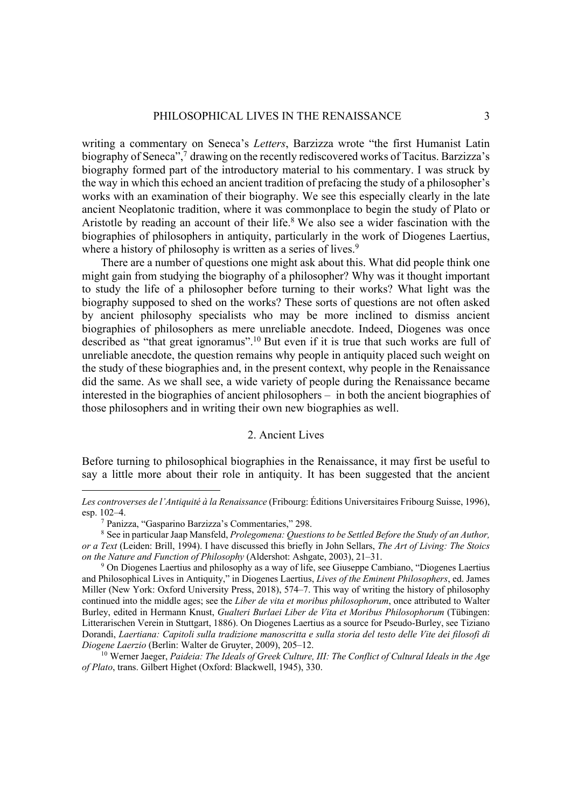writing a commentary on Seneca's *Letters*, Barzizza wrote "the first Humanist Latin biography of Seneca",<sup>7</sup> drawing on the recently rediscovered works of Tacitus. Barzizza's biography formed part of the introductory material to his commentary. I was struck by the way in which this echoed an ancient tradition of prefacing the study of a philosopher's works with an examination of their biography. We see this especially clearly in the late ancient Neoplatonic tradition, where it was commonplace to begin the study of Plato or Aristotle by reading an account of their life. <sup>8</sup> We also see a wider fascination with the biographies of philosophers in antiquity, particularly in the work of Diogenes Laertius, where a history of philosophy is written as a series of lives.<sup>9</sup>

There are a number of questions one might ask about this. What did people think one might gain from studying the biography of a philosopher? Why was it thought important to study the life of a philosopher before turning to their works? What light was the biography supposed to shed on the works? These sorts of questions are not often asked by ancient philosophy specialists who may be more inclined to dismiss ancient biographies of philosophers as mere unreliable anecdote. Indeed, Diogenes was once described as "that great ignoramus".<sup>10</sup> But even if it is true that such works are full of unreliable anecdote, the question remains why people in antiquity placed such weight on the study of these biographies and, in the present context, why people in the Renaissance did the same. As we shall see, a wide variety of people during the Renaissance became interested in the biographies of ancient philosophers – in both the ancient biographies of those philosophers and in writing their own new biographies as well.

# 2. Ancient Lives

Before turning to philosophical biographies in the Renaissance, it may first be useful to say a little more about their role in antiquity. It has been suggested that the ancient

*Les controverses de l'Antiquité à la Renaissance* (Fribourg: Éditions Universitaires Fribourg Suisse, 1996), esp. 102–4.<br><sup>7</sup> Panizza, "Gasparino Barzizza's Commentaries," 298.<br><sup>8</sup> See in particular Jaap Mansfeld, *Prolegomena: Questions to be Settled Before the Study of an Author*,

*or a Text* (Leiden: Brill, 1994). I have discussed this briefly in John Sellars, *The Art of Living: The Stoics on the Nature and Function of Philosophy* (Aldershot: Ashgate, 2003), 21–31. 9 On Diogenes Laertius and philosophy as a way of life, see Giuseppe Cambiano, "Diogenes Laertius

and Philosophical Lives in Antiquity," in Diogenes Laertius, *Lives of the Eminent Philosophers*, ed. James Miller (New York: Oxford University Press, 2018), 574–7. This way of writing the history of philosophy continued into the middle ages; see the *Liber de vita et moribus philosophorum*, once attributed to Walter Burley, edited in Hermann Knust, *Gualteri Burlaei Liber de Vita et Moribus Philosophorum* (Tübingen: Litterarischen Verein in Stuttgart, 1886). On Diogenes Laertius as a source for Pseudo-Burley, see Tiziano Dorandi, *Laertiana: Capitoli sulla tradizione manoscritta e sulla storia del testo delle Vite dei filosofi di Diogene Laerzio* (Berlin: Walter de Gruyter, 2009), 205–12. 10 Werner Jaeger, *Paideia: The Ideals of Greek Culture, III: The Conflict of Cultural Ideals in the Age* 

*of Plato*, trans. Gilbert Highet (Oxford: Blackwell, 1945), 330.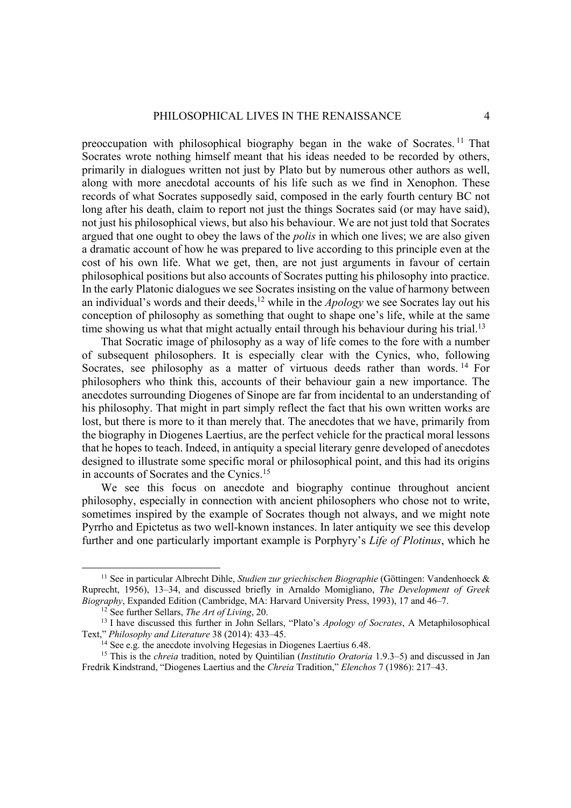preoccupation with philosophical biography began in the wake of Socrates. <sup>11</sup> That Socrates wrote nothing himself meant that his ideas needed to be recorded by others, primarily in dialogues written not just by Plato but by numerous other authors as well, along with more anecdotal accounts of his life such as we find in Xenophon. These records of what Socrates supposedly said, composed in the early fourth century BC not long after his death, claim to report not just the things Socrates said (or may have said), not just his philosophical views, but also his behaviour. We are not just told that Socrates argued that one ought to obey the laws of the *polis* in which one lives; we are also given a dramatic account of how he was prepared to live according to this principle even at the cost of his own life. What we get, then, are not just arguments in favour of certain philosophical positions but also accounts of Socrates putting his philosophy into practice. In the early Platonic dialogues we see Socrates insisting on the value of harmony between an individual's words and their deeds,<sup>12</sup> while in the *Apology* we see Socrates lay out his conception of philosophy as something that ought to shape one's life, while at the same time showing us what that might actually entail through his behaviour during his trial.<sup>13</sup>

That Socratic image of philosophy as a way of life comes to the fore with a number of subsequent philosophers. It is especially clear with the Cynics, who, following Socrates, see philosophy as a matter of virtuous deeds rather than words.<sup>14</sup> For philosophers who think this, accounts of their behaviour gain a new importance. The anecdotes surrounding Diogenes of Sinope are far from incidental to an understanding of his philosophy. That might in part simply reflect the fact that his own written works are lost, but there is more to it than merely that. The anecdotes that we have, primarily from the biography in Diogenes Laertius, are the perfect vehicle for the practical moral lessons that he hopes to teach. Indeed, in antiquity a special literary genre developed of anecdotes designed to illustrate some specific moral or philosophical point, and this had its origins in accounts of Socrates and the Cynics.<sup>15</sup>

We see this focus on anecdote and biography continue throughout ancient philosophy, especially in connection with ancient philosophers who chose not to write, sometimes inspired by the example of Socrates though not always, and we might note Pyrrho and Epictetus as two well-known instances. In later antiquity we see this develop further and one particularly important example is Porphyry's *Life of Plotinus*, which he

<sup>11</sup> See in particular Albrecht Dihle, *Studien zur griechischen Biographie* (Göttingen: Vandenhoeck & Ruprecht, 1956), 13–34, and discussed briefly in Arnaldo Momigliano, *The Development of Greek Biography*, Expanded Edition (Cambridge, MA: Harvard University Press, 1993), 17 and 46–7.<br><sup>12</sup> See further Sellars, *The Art of Living*, 20.<br><sup>13</sup> I have discussed this further in John Sellars, "Plato's *Apology of Socrat* 

Text," Philosophy and Literature 38 (2014): 433–45.<br><sup>14</sup> See e.g. the anecdote involving Hegesias in Diogenes Laertius 6.48.<br><sup>15</sup> This is the *chreia* tradition, noted by Quintilian (*Institutio Oratoria* 1.9.3–5) and disc

Fredrik Kindstrand, "Diogenes Laertius and the *Chreia* Tradition," *Elenchos* 7 (1986): 217–43.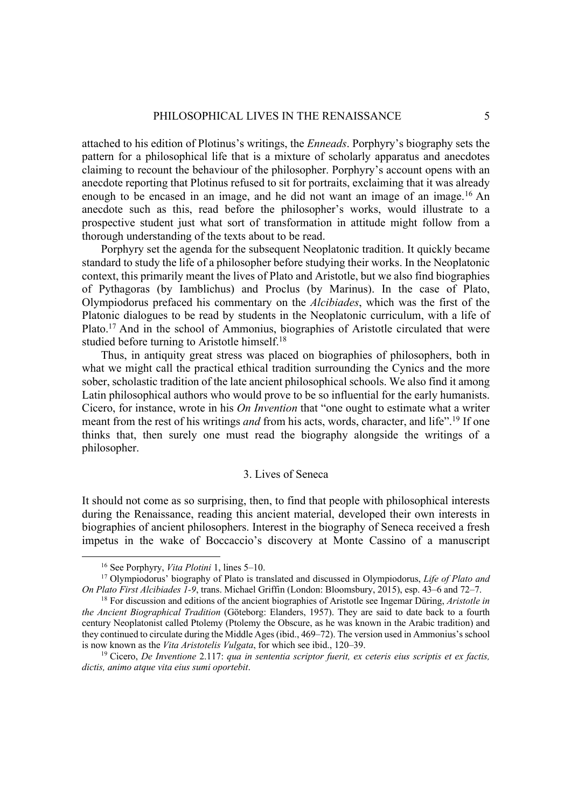attached to his edition of Plotinus's writings, the *Enneads*. Porphyry's biography sets the pattern for a philosophical life that is a mixture of scholarly apparatus and anecdotes claiming to recount the behaviour of the philosopher. Porphyry's account opens with an anecdote reporting that Plotinus refused to sit for portraits, exclaiming that it was already enough to be encased in an image, and he did not want an image of an image.<sup>16</sup> An anecdote such as this, read before the philosopher's works, would illustrate to a prospective student just what sort of transformation in attitude might follow from a thorough understanding of the texts about to be read.

Porphyry set the agenda for the subsequent Neoplatonic tradition. It quickly became standard to study the life of a philosopher before studying their works. In the Neoplatonic context, this primarily meant the lives of Plato and Aristotle, but we also find biographies of Pythagoras (by Iamblichus) and Proclus (by Marinus). In the case of Plato, Olympiodorus prefaced his commentary on the *Alcibiades*, which was the first of the Platonic dialogues to be read by students in the Neoplatonic curriculum, with a life of Plato.<sup>17</sup> And in the school of Ammonius, biographies of Aristotle circulated that were studied before turning to Aristotle himself.<sup>18</sup>

Thus, in antiquity great stress was placed on biographies of philosophers, both in what we might call the practical ethical tradition surrounding the Cynics and the more sober, scholastic tradition of the late ancient philosophical schools. We also find it among Latin philosophical authors who would prove to be so influential for the early humanists. Cicero, for instance, wrote in his *On Invention* that "one ought to estimate what a writer meant from the rest of his writings *and* from his acts, words, character, and life". <sup>19</sup> If one thinks that, then surely one must read the biography alongside the writings of a philosopher.

### 3. Lives of Seneca

It should not come as so surprising, then, to find that people with philosophical interests during the Renaissance, reading this ancient material, developed their own interests in biographies of ancient philosophers. Interest in the biography of Seneca received a fresh impetus in the wake of Boccaccio's discovery at Monte Cassino of a manuscript

<sup>&</sup>lt;sup>16</sup> See Porphyry, *Vita Plotini* 1, lines 5–10.<br><sup>17</sup> Olympiodorus' biography of Plato is translated and discussed in Olympiodorus, *Life of Plato and On Plato First Alcibiades 1-9*, trans. Michael Griffin (London: Bloomsbury, 2015), esp. 43–6 and 72–7. <sup>18</sup> For discussion and editions of the ancient biographies of Aristotle see Ingemar Düring, *Aristotle in* 

*the Ancient Biographical Tradition* (Göteborg: Elanders, 1957). They are said to date back to a fourth century Neoplatonist called Ptolemy (Ptolemy the Obscure, as he was known in the Arabic tradition) and they continued to circulate during the Middle Ages (ibid., 469–72). The version used in Ammonius's school is now known as the *Vita Aristotelis Vulgata*, for which see ibid., 120–39.

<sup>&</sup>lt;sup>19</sup> Cicero, *De Inventione* 2.117: *qua in sententia scriptor fuerit, ex ceteris eius scriptis et ex factis, dictis, animo atque vita eius sumi oportebit*.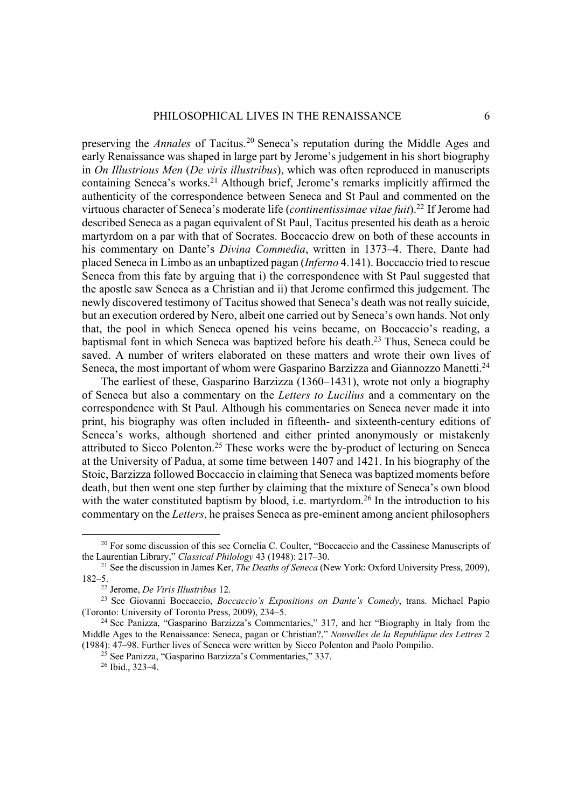preserving the *Annales* of Tacitus.<sup>20</sup> Seneca's reputation during the Middle Ages and early Renaissance was shaped in large part by Jerome's judgement in his short biography in *On Illustrious Men* (*De viris illustribus*), which was often reproduced in manuscripts containing Seneca's works.<sup>21</sup> Although brief, Jerome's remarks implicitly affirmed the authenticity of the correspondence between Seneca and St Paul and commented on the virtuous character of Seneca's moderate life (*continentissimae vitae fuit*).<sup>22</sup> If Jerome had described Seneca as a pagan equivalent of St Paul, Tacitus presented his death as a heroic martyrdom on a par with that of Socrates. Boccaccio drew on both of these accounts in his commentary on Dante's *Divina Commedia*, written in 1373–4. There, Dante had placed Seneca in Limbo as an unbaptized pagan (*Inferno* 4.141). Boccaccio tried to rescue Seneca from this fate by arguing that i) the correspondence with St Paul suggested that the apostle saw Seneca as a Christian and ii) that Jerome confirmed this judgement. The newly discovered testimony of Tacitus showed that Seneca's death was not really suicide, but an execution ordered by Nero, albeit one carried out by Seneca's own hands. Not only that, the pool in which Seneca opened his veins became, on Boccaccio's reading, a baptismal font in which Seneca was baptized before his death.<sup>23</sup> Thus, Seneca could be saved. A number of writers elaborated on these matters and wrote their own lives of Seneca, the most important of whom were Gasparino Barzizza and Giannozzo Manetti.<sup>24</sup>

The earliest of these, Gasparino Barzizza (1360–1431), wrote not only a biography of Seneca but also a commentary on the *Letters to Lucilius* and a commentary on the correspondence with St Paul. Although his commentaries on Seneca never made it into print, his biography was often included in fifteenth- and sixteenth-century editions of Seneca's works, although shortened and either printed anonymously or mistakenly attributed to Sicco Polenton.25 These works were the by-product of lecturing on Seneca at the University of Padua, at some time between 1407 and 1421. In his biography of the Stoic, Barzizza followed Boccaccio in claiming that Seneca was baptized moments before death, but then went one step further by claiming that the mixture of Seneca's own blood with the water constituted baptism by blood, i.e. martyrdom.<sup>26</sup> In the introduction to his commentary on the *Letters*, he praises Seneca as pre-eminent among ancient philosophers

<sup>&</sup>lt;sup>20</sup> For some discussion of this see Cornelia C. Coulter, "Boccaccio and the Cassinese Manuscripts of the Laurentian Library," Classical Philology 43 (1948):  $217-30$ .

<sup>&</sup>lt;sup>21</sup> See the discussion in James Ker, *The Deaths of Seneca* (New York: Oxford University Press, 2009), 182–5.<br><sup>22</sup> Jerome, *De Viris Illustribus* 12.

<sup>&</sup>lt;sup>23</sup> See Giovanni Boccaccio, *Boccaccio's Expositions on Dante's Comedy*, trans. Michael Papio (Toronto: University of Toronto Press, 2009), 234–5. 24 See Panizza, "Gasparino Barzizza's Commentaries," 317, and her "Biography in Italy from the

Middle Ages to the Renaissance: Seneca, pagan or Christian?," *Nouvelles de la Republique des Lettres* 2 (1984): 47–98. Further lives of Seneca were written by Sicco Polenton and Paolo Pompilio. 25 See Panizza, "Gasparino Barzizza's Commentaries," 337. 26 Ibid., 323–4.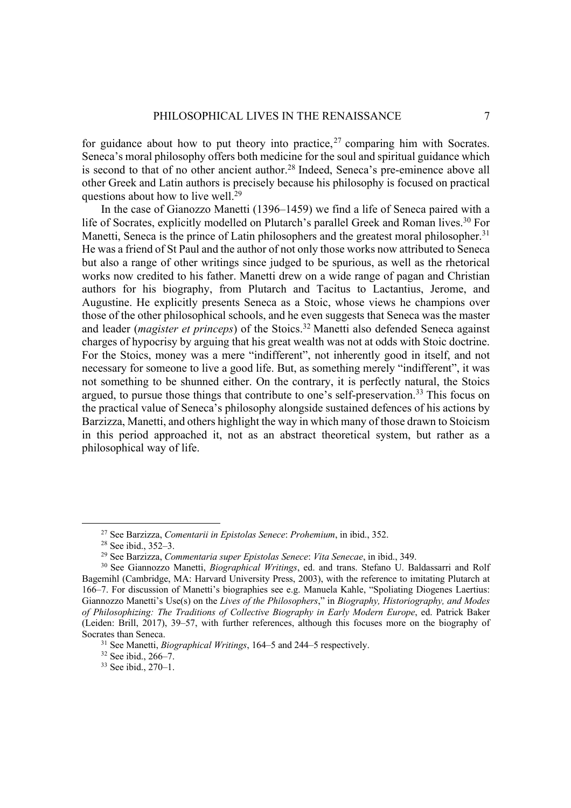for guidance about how to put theory into practice,  $27$  comparing him with Socrates. Seneca's moral philosophy offers both medicine for the soul and spiritual guidance which is second to that of no other ancient author.<sup>28</sup> Indeed, Seneca's pre-eminence above all other Greek and Latin authors is precisely because his philosophy is focused on practical questions about how to live well.<sup>29</sup>

In the case of Gianozzo Manetti (1396–1459) we find a life of Seneca paired with a life of Socrates, explicitly modelled on Plutarch's parallel Greek and Roman lives.<sup>30</sup> For Manetti, Seneca is the prince of Latin philosophers and the greatest moral philosopher.<sup>31</sup> He was a friend of St Paul and the author of not only those works now attributed to Seneca but also a range of other writings since judged to be spurious, as well as the rhetorical works now credited to his father. Manetti drew on a wide range of pagan and Christian authors for his biography, from Plutarch and Tacitus to Lactantius, Jerome, and Augustine. He explicitly presents Seneca as a Stoic, whose views he champions over those of the other philosophical schools, and he even suggests that Seneca was the master and leader (*magister et princeps*) of the Stoics.<sup>32</sup> Manetti also defended Seneca against charges of hypocrisy by arguing that his great wealth was not at odds with Stoic doctrine. For the Stoics, money was a mere "indifferent", not inherently good in itself, and not necessary for someone to live a good life. But, as something merely "indifferent", it was not something to be shunned either. On the contrary, it is perfectly natural, the Stoics argued, to pursue those things that contribute to one's self-preservation.<sup>33</sup> This focus on the practical value of Seneca's philosophy alongside sustained defences of his actions by Barzizza, Manetti, and others highlight the way in which many of those drawn to Stoicism in this period approached it, not as an abstract theoretical system, but rather as a philosophical way of life.

<sup>27</sup> See Barzizza, *Comentarii in Epistolas Senece*: *Prohemium*, in ibid., 352.

<sup>28</sup> See ibid., 352–3.

<sup>29</sup> See Barzizza, *Commentaria super Epistolas Senece*: *Vita Senecae*, in ibid., 349.

<sup>30</sup> See Giannozzo Manetti, *Biographical Writings*, ed. and trans. Stefano U. Baldassarri and Rolf Bagemihl (Cambridge, MA: Harvard University Press, 2003), with the reference to imitating Plutarch at 166–7. For discussion of Manetti's biographies see e.g. Manuela Kahle, "Spoliating Diogenes Laertius: Giannozzo Manetti's Use(s) on the *Lives of the Philosophers*," in *Biography, Historiography, and Modes of Philosophizing: The Traditions of Collective Biography in Early Modern Europe*, ed. Patrick Baker (Leiden: Brill, 2017), 39–57, with further references, although this focuses more on the biography of Socrates than Seneca.<br><sup>31</sup> See Manetti, *Biographical Writings*, 164–5 and 244–5 respectively.<br><sup>32</sup> See ibid., 270–1.<br><sup>33</sup> See ibid., 270–1.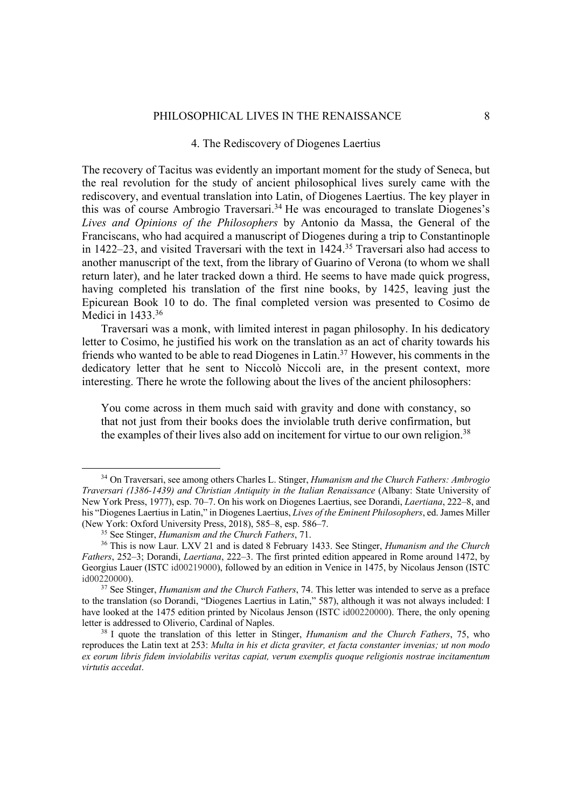# 4. The Rediscovery of Diogenes Laertius

The recovery of Tacitus was evidently an important moment for the study of Seneca, but the real revolution for the study of ancient philosophical lives surely came with the rediscovery, and eventual translation into Latin, of Diogenes Laertius. The key player in this was of course Ambrogio Traversari.34 He was encouraged to translate Diogenes's *Lives and Opinions of the Philosophers* by Antonio da Massa, the General of the Franciscans, who had acquired a manuscript of Diogenes during a trip to Constantinople in 1422–23, and visited Traversari with the text in 1424.35 Traversari also had access to another manuscript of the text, from the library of Guarino of Verona (to whom we shall return later), and he later tracked down a third. He seems to have made quick progress, having completed his translation of the first nine books, by 1425, leaving just the Epicurean Book 10 to do. The final completed version was presented to Cosimo de Medici in 1433.<sup>36</sup>

Traversari was a monk, with limited interest in pagan philosophy. In his dedicatory letter to Cosimo, he justified his work on the translation as an act of charity towards his friends who wanted to be able to read Diogenes in Latin.<sup>37</sup> However, his comments in the dedicatory letter that he sent to Niccolò Niccoli are, in the present context, more interesting. There he wrote the following about the lives of the ancient philosophers:

You come across in them much said with gravity and done with constancy, so that not just from their books does the inviolable truth derive confirmation, but the examples of their lives also add on incitement for virtue to our own religion.<sup>38</sup>

<sup>34</sup> On Traversari, see among others Charles L. Stinger, *Humanism and the Church Fathers: Ambrogio Traversari (1386-1439) and Christian Antiquity in the Italian Renaissance* (Albany: State University of New York Press, 1977), esp. 70–7. On his work on Diogenes Laertius, see Dorandi, *Laertiana*, 222–8, and his "Diogenes Laertius in Latin," in Diogenes Laertius, *Lives of the Eminent Philosophers*, ed. James Miller (New York: Oxford University Press, 2018), 585–8, esp. 586–7.<br><sup>35</sup> See Stinger, *Humanism and the Church Fathers*, 71.

<sup>35</sup> See Stinger, *Humanism and the Church Fathers*, 71. 36 This is now Laur. LXV 21 and is dated 8 February 1433. See Stinger, *Humanism and the Church Fathers*, 252–3; Dorandi, *Laertiana*, 222–3. The first printed edition appeared in Rome around 1472, by Georgius Lauer (ISTC id00219000), followed by an edition in Venice in 1475, by Nicolaus Jenson (ISTC id00220000).

<sup>37</sup> See Stinger, *Humanism and the Church Fathers*, 74. This letter was intended to serve as a preface to the translation (so Dorandi, "Diogenes Laertius in Latin," 587), although it was not always included: I have looked at the 1475 edition printed by Nicolaus Jenson (ISTC id00220000). There, the only opening letter is addressed to Oliverio, Cardinal of Naples. 38 I quote the translation of this letter in Stinger, *Humanism and the Church Fathers*, 75, who

reproduces the Latin text at 253: *Multa in his et dicta graviter, et facta constanter invenias; ut non modo ex eorum libris fidem inviolabilis veritas capiat, verum exemplis quoque religionis nostrae incitamentum virtutis accedat*.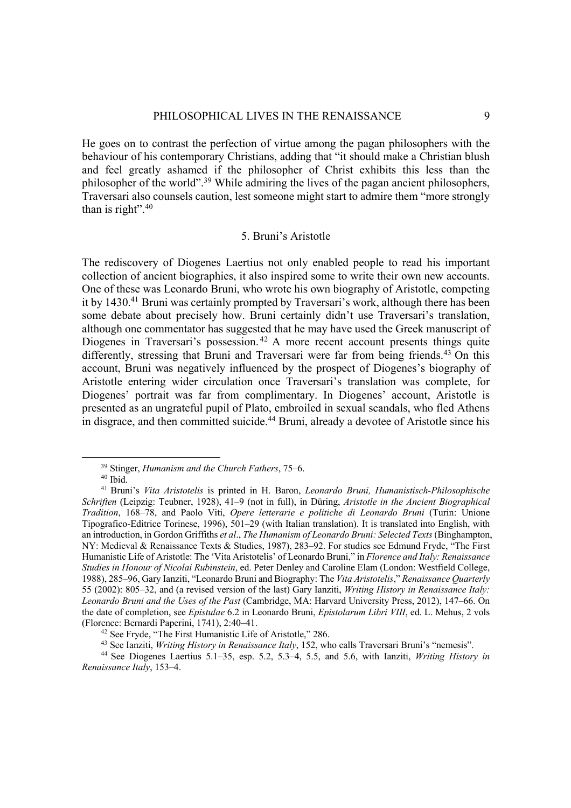He goes on to contrast the perfection of virtue among the pagan philosophers with the behaviour of his contemporary Christians, adding that "it should make a Christian blush and feel greatly ashamed if the philosopher of Christ exhibits this less than the philosopher of the world".<sup>39</sup> While admiring the lives of the pagan ancient philosophers, Traversari also counsels caution, lest someone might start to admire them "more strongly than is right". $40$ 

# 5. Bruni's Aristotle

The rediscovery of Diogenes Laertius not only enabled people to read his important collection of ancient biographies, it also inspired some to write their own new accounts. One of these was Leonardo Bruni, who wrote his own biography of Aristotle, competing it by 1430.<sup>41</sup> Bruni was certainly prompted by Traversari's work, although there has been some debate about precisely how. Bruni certainly didn't use Traversari's translation, although one commentator has suggested that he may have used the Greek manuscript of Diogenes in Traversari's possession.<sup>42</sup> A more recent account presents things quite differently, stressing that Bruni and Traversari were far from being friends.<sup>43</sup> On this account, Bruni was negatively influenced by the prospect of Diogenes's biography of Aristotle entering wider circulation once Traversari's translation was complete, for Diogenes' portrait was far from complimentary. In Diogenes' account, Aristotle is presented as an ungrateful pupil of Plato, embroiled in sexual scandals, who fled Athens in disgrace, and then committed suicide.<sup>44</sup> Bruni, already a devotee of Aristotle since his

<sup>39</sup> Stinger, *Humanism and the Church Fathers*, 75–6. 40 Ibid. 41 Bruni's *Vita Aristotelis* is printed in H. Baron, *Leonardo Bruni, Humanistisch-Philosophische Schriften* (Leipzig: Teubner, 1928), 41–9 (not in full), in Düring, *Aristotle in the Ancient Biographical Tradition*, 168–78, and Paolo Viti, *Opere letterarie e politiche di Leonardo Bruni* (Turin: Unione Tipografico-Editrice Torinese, 1996), 501–29 (with Italian translation). It is translated into English, with an introduction, in Gordon Griffiths *et al*., *The Humanism of Leonardo Bruni: Selected Texts* (Binghampton, NY: Medieval & Renaissance Texts & Studies, 1987), 283–92. For studies see Edmund Fryde, "The First Humanistic Life of Aristotle: The 'Vita Aristotelis' of Leonardo Bruni," in *Florence and Italy: Renaissance Studies in Honour of Nicolai Rubinstein*, ed. Peter Denley and Caroline Elam (London: Westfield College, 1988), 285–96, Gary Ianziti, "Leonardo Bruni and Biography: The *Vita Aristotelis*," *Renaissance Quarterly*  55 (2002): 805–32, and (a revised version of the last) Gary Ianziti, *Writing History in Renaissance Italy: Leonardo Bruni and the Uses of the Past* (Cambridge, MA: Harvard University Press, 2012), 147–66. On the date of completion, see *Epistulae* 6.2 in Leonardo Bruni, *Epistolarum Libri VIII*, ed. L. Mehus, 2 vols (Florence: Bernardi Paperini, 1741), 2:40–41.<br><sup>42</sup> See Fryde, "The First Humanistic Life of Aristotle," 286.<br><sup>43</sup> See Ianziti, *Writing History in Renaissance Italy*, 152, who calls Traversari Bruni's "nemesis".<br><sup>44</sup> See D

*Renaissance Italy*, 153–4.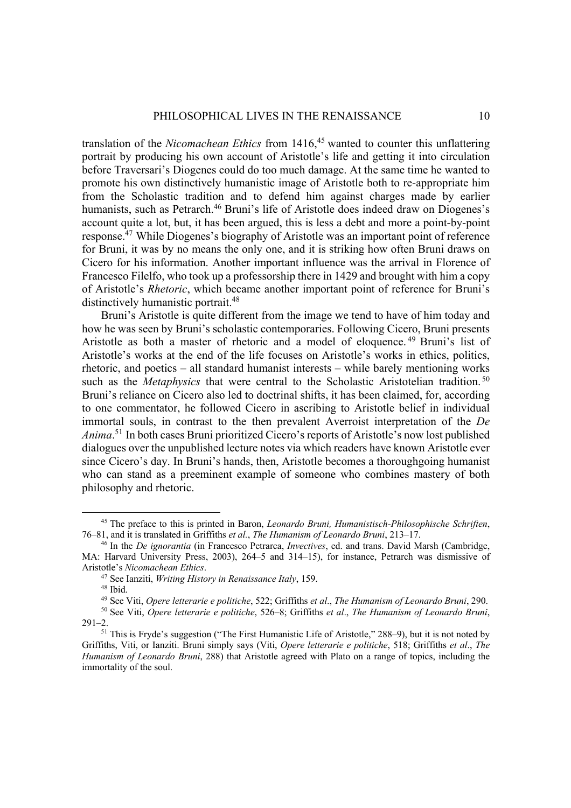translation of the *Nicomachean Ethics* from 1416, <sup>45</sup> wanted to counter this unflattering portrait by producing his own account of Aristotle's life and getting it into circulation before Traversari's Diogenes could do too much damage. At the same time he wanted to promote his own distinctively humanistic image of Aristotle both to re-appropriate him from the Scholastic tradition and to defend him against charges made by earlier humanists, such as Petrarch.<sup>46</sup> Bruni's life of Aristotle does indeed draw on Diogenes's account quite a lot, but, it has been argued, this is less a debt and more a point-by-point response.47 While Diogenes's biography of Aristotle was an important point of reference for Bruni, it was by no means the only one, and it is striking how often Bruni draws on Cicero for his information. Another important influence was the arrival in Florence of Francesco Filelfo, who took up a professorship there in 1429 and brought with him a copy of Aristotle's *Rhetoric*, which became another important point of reference for Bruni's distinctively humanistic portrait.<sup>48</sup>

Bruni's Aristotle is quite different from the image we tend to have of him today and how he was seen by Bruni's scholastic contemporaries. Following Cicero, Bruni presents Aristotle as both a master of rhetoric and a model of eloquence. <sup>49</sup> Bruni's list of Aristotle's works at the end of the life focuses on Aristotle's works in ethics, politics, rhetoric, and poetics – all standard humanist interests – while barely mentioning works such as the *Metaphysics* that were central to the Scholastic Aristotelian tradition.<sup>50</sup> Bruni's reliance on Cicero also led to doctrinal shifts, it has been claimed, for, according to one commentator, he followed Cicero in ascribing to Aristotle belief in individual immortal souls, in contrast to the then prevalent Averroist interpretation of the *De Anima*. <sup>51</sup> In both cases Bruni prioritized Cicero's reports of Aristotle's now lost published dialogues over the unpublished lecture notes via which readers have known Aristotle ever since Cicero's day. In Bruni's hands, then, Aristotle becomes a thoroughgoing humanist who can stand as a preeminent example of someone who combines mastery of both philosophy and rhetoric.

<sup>45</sup> The preface to this is printed in Baron, *Leonardo Bruni, Humanistisch-Philosophische Schriften*, 76–81, and it is translated in Griffiths *et al.*, *The Humanism of Leonardo Bruni*, 213–17.

<sup>46</sup> In the *De ignorantia* (in Francesco Petrarca, *Invectives*, ed. and trans. David Marsh (Cambridge, MA: Harvard University Press, 2003), 264–5 and 314–15), for instance, Petrarch was dismissive of Aristotle's Nicomachean Ethics.<br><sup>47</sup> See Ianziti, *Writing History in Renaissance Italy*, 159.<br><sup>48</sup> Ibid.<br><sup>49</sup> See Viti, *Opere letterarie e politiche*, 522; Griffiths *et al., The Humanism of Leonardo Bruni*, 290.<br><sup>50</sup> Se

 $291 - 2.$ 

<sup>51</sup> This is Fryde's suggestion ("The First Humanistic Life of Aristotle," 288–9), but it is not noted by Griffiths, Viti, or Ianziti. Bruni simply says (Viti, *Opere letterarie e politiche*, 518; Griffiths *et al*., *The Humanism of Leonardo Bruni*, 288) that Aristotle agreed with Plato on a range of topics, including the immortality of the soul.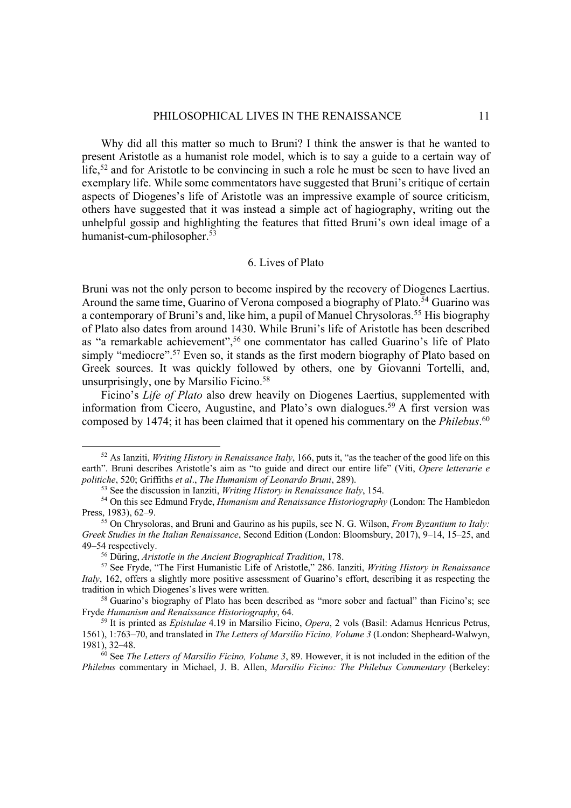Why did all this matter so much to Bruni? I think the answer is that he wanted to present Aristotle as a humanist role model, which is to say a guide to a certain way of life, $52$  and for Aristotle to be convincing in such a role he must be seen to have lived an exemplary life. While some commentators have suggested that Bruni's critique of certain aspects of Diogenes's life of Aristotle was an impressive example of source criticism, others have suggested that it was instead a simple act of hagiography, writing out the unhelpful gossip and highlighting the features that fitted Bruni's own ideal image of a humanist-cum-philosopher.53

# 6. Lives of Plato

Bruni was not the only person to become inspired by the recovery of Diogenes Laertius. Around the same time, Guarino of Verona composed a biography of Plato.<sup>54</sup> Guarino was a contemporary of Bruni's and, like him, a pupil of Manuel Chrysoloras.<sup>55</sup> His biography of Plato also dates from around 1430. While Bruni's life of Aristotle has been described as "a remarkable achievement", <sup>56</sup> one commentator has called Guarino's life of Plato simply "mediocre".<sup>57</sup> Even so, it stands as the first modern biography of Plato based on Greek sources. It was quickly followed by others, one by Giovanni Tortelli, and, unsurprisingly, one by Marsilio Ficino.<sup>58</sup>

Ficino's *Life of Plato* also drew heavily on Diogenes Laertius, supplemented with information from Cicero, Augustine, and Plato's own dialogues.<sup>59</sup> A first version was composed by 1474; it has been claimed that it opened his commentary on the *Philebus*. 60

<sup>52</sup> As Ianziti, *Writing History in Renaissance Italy*, 166, puts it, "as the teacher of the good life on this earth". Bruni describes Aristotle's aim as "to guide and direct our entire life" (Viti, *Opere letterarie e* 

politiche, 520; Griffiths et al., The Humanism of Leonardo Bruni, 289).<br><sup>53</sup> See the discussion in Ianziti, *Writing History in Renaissance Italy*, 154.<br><sup>54</sup> On this see Edmund Fryde, *Humanism and Renaissance Historiograp* 

<sup>&</sup>lt;sup>55</sup> On Chrysoloras, and Bruni and Gaurino as his pupils, see N. G. Wilson, *From Byzantium to Italy*: *Greek Studies in the Italian Renaissance*, Second Edition (London: Bloomsbury, 2017), 9–14, 15–25, and 49–54 respectively.<br><sup>56</sup> Düring, *Aristotle in the Ancient Biographical Tradition*, 178.

<sup>56</sup> Düring, *Aristotle in the Ancient Biographical Tradition*, 178. 57 See Fryde, "The First Humanistic Life of Aristotle," 286. Ianziti, *Writing History in Renaissance Italy*, 162, offers a slightly more positive assessment of Guarino's effort, describing it as respecting the tradition in which Diogenes's lives were written.<br><sup>58</sup> Guarino's biography of Plato has been described as "more sober and factual" than Ficino's; see

Fryde *Humanism and Renaissance Historiography*, 64. 59 It is printed as *Epistulae* 4.19 in Marsilio Ficino, *Opera*, 2 vols (Basil: Adamus Henricus Petrus,

<sup>1561), 1:763–70,</sup> and translated in *The Letters of Marsilio Ficino, Volume 3* (London: Shepheard-Walwyn, 1981), 32–48. 60 See *The Letters of Marsilio Ficino, Volume 3*, 89. However, it is not included in the edition of the

*Philebus* commentary in Michael, J. B. Allen, *Marsilio Ficino: The Philebus Commentary* (Berkeley: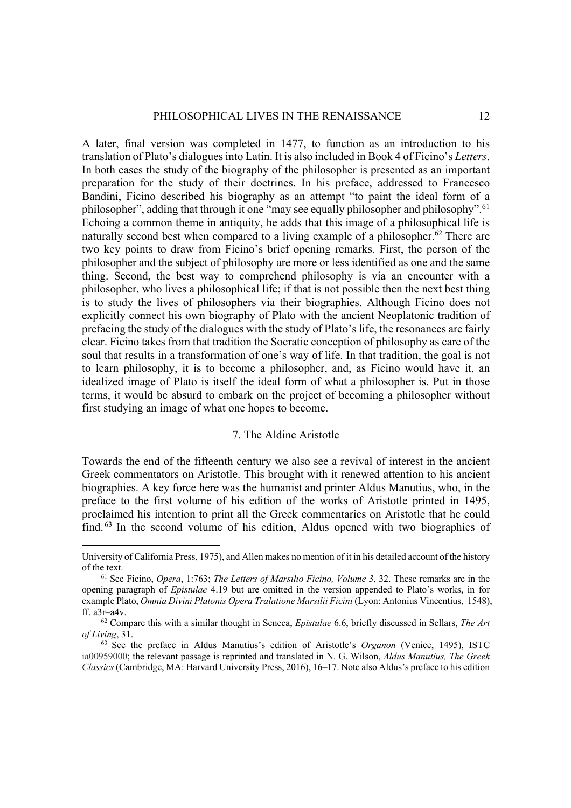A later, final version was completed in 1477, to function as an introduction to his translation of Plato's dialogues into Latin. It is also included in Book 4 of Ficino's *Letters*. In both cases the study of the biography of the philosopher is presented as an important preparation for the study of their doctrines. In his preface, addressed to Francesco Bandini, Ficino described his biography as an attempt "to paint the ideal form of a philosopher", adding that through it one "may see equally philosopher and philosophy".<sup>61</sup> Echoing a common theme in antiquity, he adds that this image of a philosophical life is naturally second best when compared to a living example of a philosopher.<sup>62</sup> There are two key points to draw from Ficino's brief opening remarks. First, the person of the philosopher and the subject of philosophy are more or less identified as one and the same thing. Second, the best way to comprehend philosophy is via an encounter with a philosopher, who lives a philosophical life; if that is not possible then the next best thing is to study the lives of philosophers via their biographies. Although Ficino does not explicitly connect his own biography of Plato with the ancient Neoplatonic tradition of prefacing the study of the dialogues with the study of Plato's life, the resonances are fairly clear. Ficino takes from that tradition the Socratic conception of philosophy as care of the soul that results in a transformation of one's way of life. In that tradition, the goal is not to learn philosophy, it is to become a philosopher, and, as Ficino would have it, an idealized image of Plato is itself the ideal form of what a philosopher is. Put in those terms, it would be absurd to embark on the project of becoming a philosopher without first studying an image of what one hopes to become.

# 7. The Aldine Aristotle

Towards the end of the fifteenth century we also see a revival of interest in the ancient Greek commentators on Aristotle. This brought with it renewed attention to his ancient biographies. A key force here was the humanist and printer Aldus Manutius, who, in the preface to the first volume of his edition of the works of Aristotle printed in 1495, proclaimed his intention to print all the Greek commentaries on Aristotle that he could find. <sup>63</sup> In the second volume of his edition, Aldus opened with two biographies of

University of California Press, 1975), and Allen makes no mention of it in his detailed account of the history of the text. 61 See Ficino, *Opera*, 1:763; *The Letters of Marsilio Ficino, Volume 3*, 32. These remarks are in the

opening paragraph of *Epistulae* 4.19 but are omitted in the version appended to Plato's works, in for example Plato, *Omnia Divini Platonis Opera Tralatione Marsilii Ficini* (Lyon: Antonius Vincentius, 1548), ff. a3r–a4v. 62 Compare this with a similar thought in Seneca, *Epistulae* 6.6, briefly discussed in Sellars, *The Art* 

*of Living*, 31. 63 See the preface in Aldus Manutius's edition of Aristotle's *Organon* (Venice, 1495), ISTC

ia00959000; the relevant passage is reprinted and translated in N. G. Wilson, *Aldus Manutius, The Greek Classics*(Cambridge, MA: Harvard University Press, 2016), 16–17. Note also Aldus's preface to his edition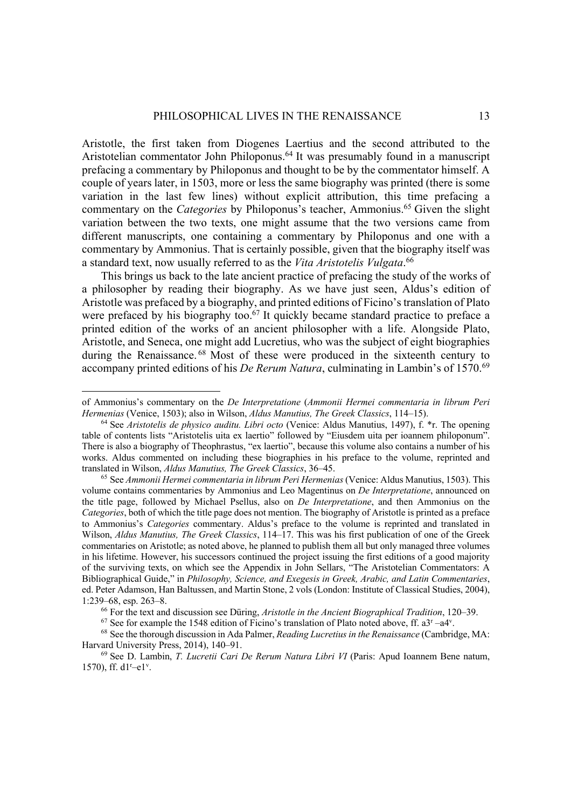Aristotle, the first taken from Diogenes Laertius and the second attributed to the Aristotelian commentator John Philoponus.<sup>64</sup> It was presumably found in a manuscript prefacing a commentary by Philoponus and thought to be by the commentator himself. A couple of years later, in 1503, more or less the same biography was printed (there is some variation in the last few lines) without explicit attribution, this time prefacing a commentary on the *Categories* by Philoponus's teacher, Ammonius. <sup>65</sup> Given the slight variation between the two texts, one might assume that the two versions came from different manuscripts, one containing a commentary by Philoponus and one with a commentary by Ammonius. That is certainly possible, given that the biography itself was a standard text, now usually referred to as the *Vita Aristotelis Vulgata*. 66

This brings us back to the late ancient practice of prefacing the study of the works of a philosopher by reading their biography. As we have just seen, Aldus's edition of Aristotle was prefaced by a biography, and printed editions of Ficino's translation of Plato were prefaced by his biography too.<sup>67</sup> It quickly became standard practice to preface a printed edition of the works of an ancient philosopher with a life. Alongside Plato, Aristotle, and Seneca, one might add Lucretius, who was the subject of eight biographies during the Renaissance.<sup>68</sup> Most of these were produced in the sixteenth century to accompany printed editions of his *De Rerum Natura*, culminating in Lambin's of 1570.69

of Ammonius's commentary on the *De Interpretatione* (*Ammonii Hermei commentaria in librum Peri Hermenias* (Venice, 1503); also in Wilson, *Aldus Manutius, The Greek Classics*, 114–15).<br><sup>64</sup> See *Aristotelis de physico auditu. Libri octo* (Venice: Aldus Manutius, 1497), f. \*r. The opening

table of contents lists "Aristotelis uita ex laertio" followed by "Eiusdem uita per ioannem philoponum". There is also a biography of Theophrastus, "ex laertio", because this volume also contains a number of his works. Aldus commented on including these biographies in his preface to the volume, reprinted and translated in Wilson, *Aldus Manutius, The Greek Classics*, 36–45. 65 See *Ammonii Hermei commentaria in librum Peri Hermenias* (Venice: Aldus Manutius, 1503). This

volume contains commentaries by Ammonius and Leo Magentinus on *De Interpretatione*, announced on the title page, followed by Michael Psellus, also on *De Interpretatione*, and then Ammonius on the *Categories*, both of which the title page does not mention. The biography of Aristotle is printed as a preface to Ammonius's *Categories* commentary. Aldus's preface to the volume is reprinted and translated in Wilson, *Aldus Manutius, The Greek Classics*, 114–17. This was his first publication of one of the Greek commentaries on Aristotle; as noted above, he planned to publish them all but only managed three volumes in his lifetime. However, his successors continued the project issuing the first editions of a good majority of the surviving texts, on which see the Appendix in John Sellars, "The Aristotelian Commentators: A Bibliographical Guide," in *Philosophy, Science, and Exegesis in Greek, Arabic, and Latin Commentaries*, ed. Peter Adamson, Han Baltussen, and Martin Stone, 2 vols (London: Institute of Classical Studies, 2004), 1:239–68, esp. 263–8.<br><sup>66</sup> For the text and discussion see Düring, *Aristotle in the Ancient Biographical Tradition*, 120–39.<br><sup>67</sup> See for example the 1548 edition of Ficino's translation of Plato noted above, ff. a3<sup>r</sup> –a

<sup>. 68</sup> See the thorough discussion in Ada Palmer, *Reading Lucretius in the Renaissance* (Cambridge, MA: Harvard University Press, 2014), 140–91. 69 See D. Lambin, *T. Lucretii Cari De Rerum Natura Libri VI* (Paris: Apud Ioannem Bene natum,

<sup>1570),</sup> ff.  $d1^{r}-e1^{v}$ .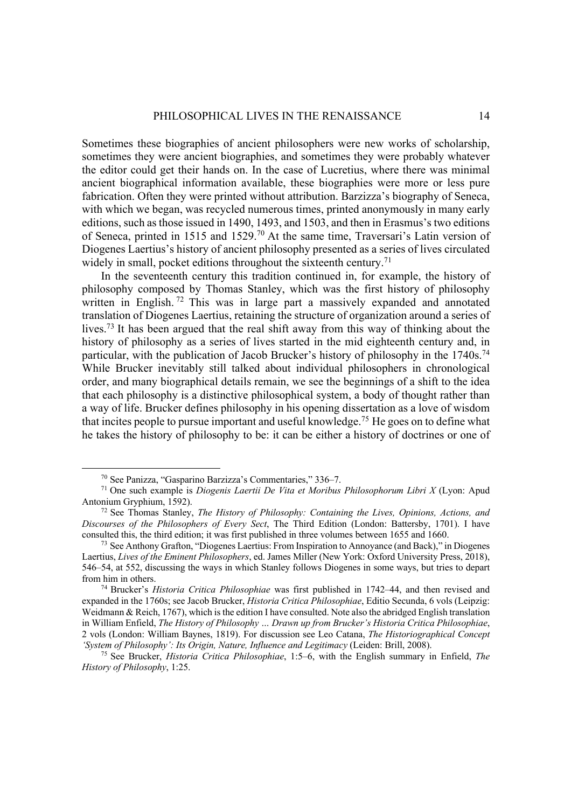Sometimes these biographies of ancient philosophers were new works of scholarship, sometimes they were ancient biographies, and sometimes they were probably whatever the editor could get their hands on. In the case of Lucretius, where there was minimal ancient biographical information available, these biographies were more or less pure fabrication. Often they were printed without attribution. Barzizza's biography of Seneca, with which we began, was recycled numerous times, printed anonymously in many early editions, such as those issued in 1490, 1493, and 1503, and then in Erasmus's two editions of Seneca, printed in 1515 and 1529.70 At the same time, Traversari's Latin version of Diogenes Laertius's history of ancient philosophy presented as a series of lives circulated widely in small, pocket editions throughout the sixteenth century.<sup>71</sup>

In the seventeenth century this tradition continued in, for example, the history of philosophy composed by Thomas Stanley, which was the first history of philosophy written in English.<sup>72</sup> This was in large part a massively expanded and annotated translation of Diogenes Laertius, retaining the structure of organization around a series of lives.73 It has been argued that the real shift away from this way of thinking about the history of philosophy as a series of lives started in the mid eighteenth century and, in particular, with the publication of Jacob Brucker's history of philosophy in the 1740s.<sup>74</sup> While Brucker inevitably still talked about individual philosophers in chronological order, and many biographical details remain, we see the beginnings of a shift to the idea that each philosophy is a distinctive philosophical system, a body of thought rather than a way of life. Brucker defines philosophy in his opening dissertation as a love of wisdom that incites people to pursue important and useful knowledge.<sup>75</sup> He goes on to define what he takes the history of philosophy to be: it can be either a history of doctrines or one of

<sup>70</sup> See Panizza, "Gasparino Barzizza's Commentaries," 336–7. 71 One such example is *Diogenis Laertii De Vita et Moribus Philosophorum Libri X* (Lyon: Apud

<sup>&</sup>lt;sup>72</sup> See Thomas Stanley, *The History of Philosophy: Containing the Lives, Opinions, Actions, and Discourses of the Philosophers of Every Sect*, The Third Edition (London: Battersby, 1701). I have

<sup>&</sup>lt;sup>73</sup> See Anthony Grafton, "Diogenes Laertius: From Inspiration to Annoyance (and Back)," in Diogenes Laertius, *Lives of the Eminent Philosophers*, ed. James Miller (New York: Oxford University Press, 2018), 546–54, at 552, discussing the ways in which Stanley follows Diogenes in some ways, but tries to depart from him in others. 74 Brucker's *Historia Critica Philosophiae* was first published in 1742–44, and then revised and

expanded in the 1760s; see Jacob Brucker, *Historia Critica Philosophiae*, Editio Secunda, 6 vols (Leipzig: Weidmann & Reich, 1767), which is the edition I have consulted. Note also the abridged English translation in William Enfield, *The History of Philosophy … Drawn up from Brucker's Historia Critica Philosophiae*, 2 vols (London: William Baynes, 1819). For discussion see Leo Catana, *The Historiographical Concept 'System of Philosophy': Its Origin, Nature, Influence and Legitimacy* (Leiden: Brill, 2008).

<sup>75</sup> See Brucker, *Historia Critica Philosophiae*, 1:5–6, with the English summary in Enfield, *The History of Philosophy*, 1:25.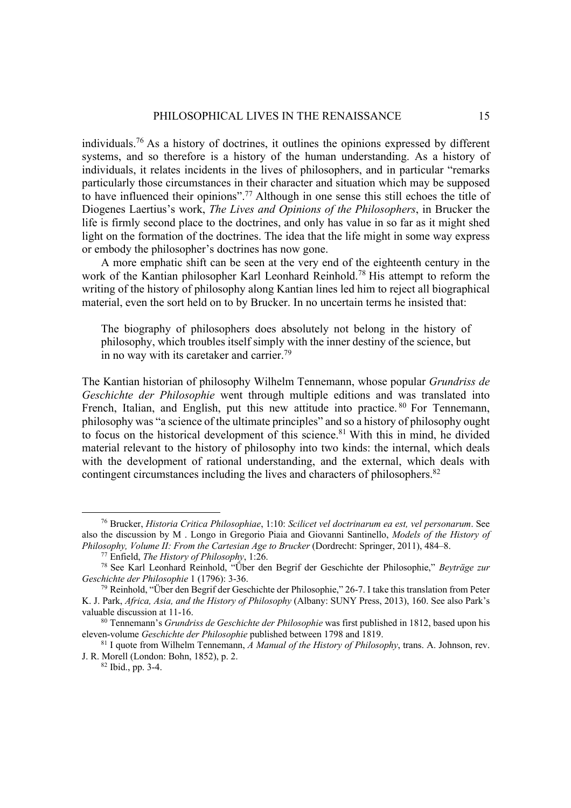individuals. <sup>76</sup> As a history of doctrines, it outlines the opinions expressed by different systems, and so therefore is a history of the human understanding. As a history of individuals, it relates incidents in the lives of philosophers, and in particular "remarks particularly those circumstances in their character and situation which may be supposed to have influenced their opinions".77 Although in one sense this still echoes the title of Diogenes Laertius's work, *The Lives and Opinions of the Philosophers*, in Brucker the life is firmly second place to the doctrines, and only has value in so far as it might shed light on the formation of the doctrines. The idea that the life might in some way express or embody the philosopher's doctrines has now gone.

A more emphatic shift can be seen at the very end of the eighteenth century in the work of the Kantian philosopher Karl Leonhard Reinhold.<sup>78</sup> His attempt to reform the writing of the history of philosophy along Kantian lines led him to reject all biographical material, even the sort held on to by Brucker. In no uncertain terms he insisted that:

The biography of philosophers does absolutely not belong in the history of philosophy, which troubles itself simply with the inner destiny of the science, but in no way with its caretaker and carrier.<sup>79</sup>

The Kantian historian of philosophy Wilhelm Tennemann, whose popular *Grundriss de Geschichte der Philosophie* went through multiple editions and was translated into French, Italian, and English, put this new attitude into practice. <sup>80</sup> For Tennemann, philosophy was "a science of the ultimate principles" and so a history of philosophy ought to focus on the historical development of this science.<sup>81</sup> With this in mind, he divided material relevant to the history of philosophy into two kinds: the internal, which deals with the development of rational understanding, and the external, which deals with contingent circumstances including the lives and characters of philosophers.<sup>82</sup>

<sup>76</sup> Brucker, *Historia Critica Philosophiae*, 1:10: *Scilicet vel doctrinarum ea est, vel personarum*. See also the discussion by M . Longo in Gregorio Piaia and Giovanni Santinello, *Models of the History of Philosophy, Volume II: From the Cartesian Age to Brucker* (Dordrecht: Springer, 2011), 484–8.

<sup>77</sup> Enfield, *The History of Philosophy*, 1:26. 78 See Karl Leonhard Reinhold, "Über den Begrif der Geschichte der Philosophie," *Beyträge zur Geschichte der Philosophie* 1 (1796): 3-36.

 $^{79}$  Reinhold, "Über den Begrif der Geschichte der Philosophie," 26-7. I take this translation from Peter K. J. Park, *Africa, Asia, and the History of Philosophy* (Albany: SUNY Press, 2013), 160. See also Park's

<sup>&</sup>lt;sup>80</sup> Tennemann's *Grundriss de Geschichte der Philosophie* was first published in 1812, based upon his eleven-volume *Geschichte der Philosophie* published between 1798 and 1819. 81 I quote from Wilhelm Tennemann, *A Manual of the History of Philosophy*, trans. A. Johnson, rev.

J. R. Morell (London: Bohn, 1852), p. 2. 82 Ibid., pp. 3-4.